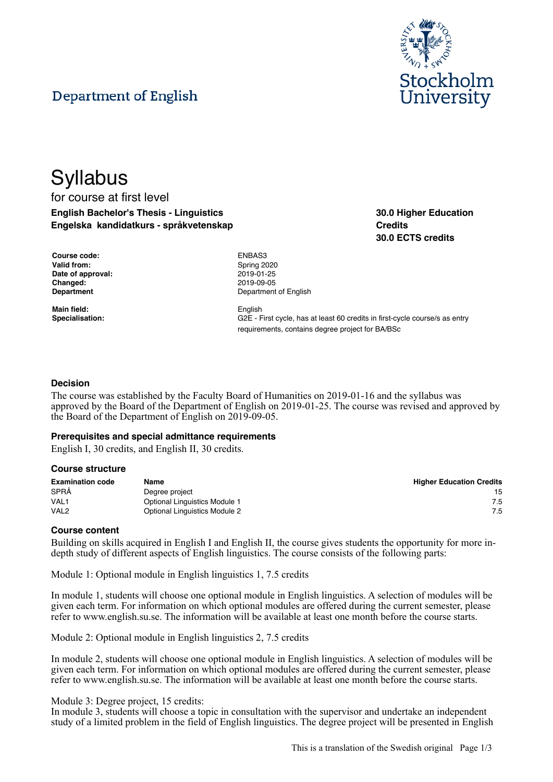# Department of English



**30.0 Higher Education**

**30.0 ECTS credits**

**Credits**

## **Syllabus** for course at first level **English Bachelor's Thesis - Linguistics Engelska kandidatkurs - språkvetenskap**

| Course code:       |
|--------------------|
| <b>Valid from:</b> |
| Date of approval:  |
| Changed:           |
| <b>Department</b>  |

**Main field:** English

**Course code:** ENBAS3 **Valid from:** Spring 2020 **Date of approval:** 2019-01-25 **Changed:** 2019-09-05 **Department of English** 

**Specialisation:** G2E - First cycle, has at least 60 credits in first-cycle course/s as entry requirements, contains degree project for BA/BSc

## **Decision**

The course was established by the Faculty Board of Humanities on 2019-01-16 and the syllabus was approved by the Board of the Department of English on 2019-01-25. The course was revised and approved by the Board of the Department of English on 2019-09-05.

## **Prerequisites and special admittance requirements**

English I, 30 credits, and English II, 30 credits.

## **Course structure**

| <b>Examination code</b> | Name                                 | <b>Higher Education Credits</b> |
|-------------------------|--------------------------------------|---------------------------------|
| SPRÅ                    | Degree project                       | 15                              |
| VAL <sub>1</sub>        | <b>Optional Linguistics Module 1</b> | 7.5                             |
| VAL <sub>2</sub>        | <b>Optional Linguistics Module 2</b> | 7.5                             |

## **Course content**

Building on skills acquired in English I and English II, the course gives students the opportunity for more indepth study of different aspects of English linguistics. The course consists of the following parts:

Module 1: Optional module in English linguistics 1, 7.5 credits

In module 1, students will choose one optional module in English linguistics. A selection of modules will be given each term. For information on which optional modules are offered during the current semester, please refer to www.english.su.se. The information will be available at least one month before the course starts.

Module 2: Optional module in English linguistics 2, 7.5 credits

In module 2, students will choose one optional module in English linguistics. A selection of modules will be given each term. For information on which optional modules are offered during the current semester, please refer to www.english.su.se. The information will be available at least one month before the course starts.

## Module 3: Degree project, 15 credits:

In module 3, students will choose a topic in consultation with the supervisor and undertake an independent study of a limited problem in the field of English linguistics. The degree project will be presented in English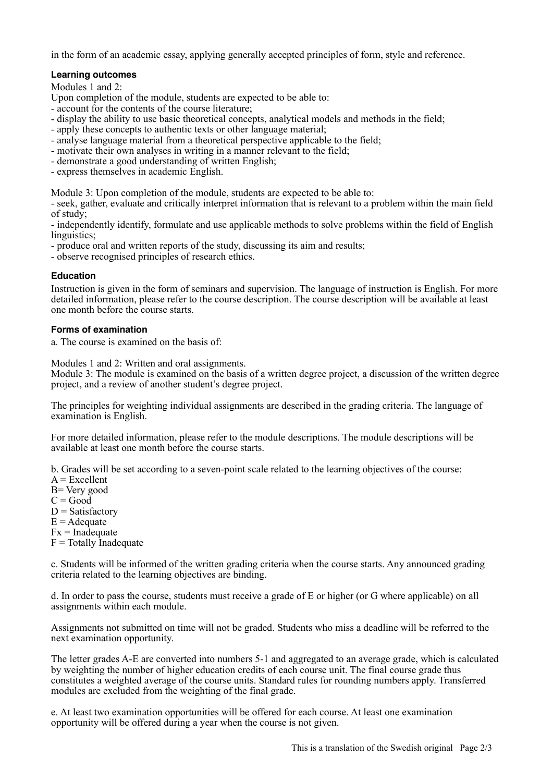in the form of an academic essay, applying generally accepted principles of form, style and reference.

## **Learning outcomes**

Modules 1 and 2:

Upon completion of the module, students are expected to be able to:

- account for the contents of the course literature;
- display the ability to use basic theoretical concepts, analytical models and methods in the field;
- apply these concepts to authentic texts or other language material;
- analyse language material from a theoretical perspective applicable to the field;
- motivate their own analyses in writing in a manner relevant to the field;
- demonstrate a good understanding of written English;
- express themselves in academic English.

Module 3: Upon completion of the module, students are expected to be able to:

- seek, gather, evaluate and critically interpret information that is relevant to a problem within the main field of study;

- independently identify, formulate and use applicable methods to solve problems within the field of English linguistics:

- produce oral and written reports of the study, discussing its aim and results;

- observe recognised principles of research ethics.

## **Education**

Instruction is given in the form of seminars and supervision. The language of instruction is English. For more detailed information, please refer to the course description. The course description will be available at least one month before the course starts.

## **Forms of examination**

a. The course is examined on the basis of:

Modules 1 and 2: Written and oral assignments.

Module 3: The module is examined on the basis of a written degree project, a discussion of the written degree project, and a review of another student's degree project.

The principles for weighting individual assignments are described in the grading criteria. The language of examination is English.

For more detailed information, please refer to the module descriptions. The module descriptions will be available at least one month before the course starts.

b. Grades will be set according to a seven-point scale related to the learning objectives of the course:

- $A = Excellent$
- B= Very good
- $C = Good$
- $D = Satisfactory$
- $E =$  Adequate
- $Fx = Inad$ equate

 $F = \text{Totally Inadequate}$ 

c. Students will be informed of the written grading criteria when the course starts. Any announced grading criteria related to the learning objectives are binding.

d. In order to pass the course, students must receive a grade of E or higher (or G where applicable) on all assignments within each module.

Assignments not submitted on time will not be graded. Students who miss a deadline will be referred to the next examination opportunity.

The letter grades A-E are converted into numbers 5-1 and aggregated to an average grade, which is calculated by weighting the number of higher education credits of each course unit. The final course grade thus constitutes a weighted average of the course units. Standard rules for rounding numbers apply. Transferred modules are excluded from the weighting of the final grade.

e. At least two examination opportunities will be offered for each course. At least one examination opportunity will be offered during a year when the course is not given.